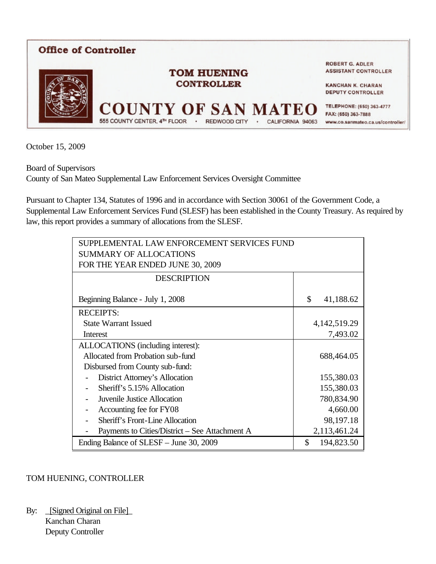

October 15, 2009

Board of Supervisors County of San Mateo Supplemental Law Enforcement Services Oversight Committee

Pursuant to Chapter 134, Statutes of 1996 and in accordance with Section 30061 of the Government Code, a Supplemental Law Enforcement Services Fund (SLESF) has been established in the County Treasury. As required by law, this report provides a summary of allocations from the SLESF.

| SUPPLEMENTAL LAW ENFORCEMENT SERVICES FUND<br><b>SUMMARY OF ALLOCATIONS</b> |                  |
|-----------------------------------------------------------------------------|------------------|
| FOR THE YEAR ENDED JUNE 30, 2009                                            |                  |
| <b>DESCRIPTION</b>                                                          |                  |
| Beginning Balance - July 1, 2008                                            | \$<br>41,188.62  |
| <b>RECEIPTS:</b>                                                            |                  |
| <b>State Warrant Issued</b>                                                 | 4, 142, 519. 29  |
| Interest                                                                    | 7,493.02         |
| ALLOCATIONS (including interest):                                           |                  |
| Allocated from Probation sub-fund                                           | 688,464.05       |
| Disbursed from County sub-fund:                                             |                  |
| District Attorney's Allocation                                              | 155,380.03       |
| Sheriff's 5.15% Allocation                                                  | 155,380.03       |
| <b>Juvenile Justice Allocation</b>                                          | 780,834.90       |
| Accounting fee for FY08                                                     | 4,660.00         |
| <b>Sheriff's Front-Line Allocation</b>                                      | 98,197.18        |
| Payments to Cities/District – See Attachment A                              | 2,113,461.24     |
| Ending Balance of SLESF – June 30, 2009                                     | \$<br>194,823.50 |

## TOM HUENING, CONTROLLER

By: \_[Signed Original on File]\_ Kanchan Charan Deputy Controller